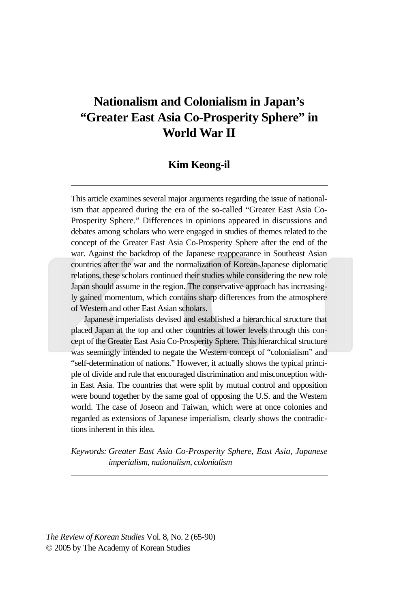# **Nationalism and Colonialism in Japan's "Greater East Asia Co-Prosperity Sphere" in World War II**

### **Kim Keong-il**

This article examines several major arguments regarding the issue of nationalism that appeared during the era of the so-called "Greater East Asia Co-Prosperity Sphere." Differences in opinions appeared in discussions and debates among scholars who were engaged in studies of themes related to the concept of the Greater East Asia Co-Prosperity Sphere after the end of the war. Against the backdrop of the Japanese reappearance in Southeast Asian countries after the war and the normalization of Korean-Japanese diplomatic relations, these scholars continued their studies while considering the new role Japan should assume in the region. The conservative approach has increasingly gained momentum, which contains sharp differences from the atmosphere of Western and other East Asian scholars.

Japanese imperialists devised and established a hierarchical structure that placed Japan at the top and other countries at lower levels through this concept of the Greater East Asia Co-Prosperity Sphere. This hierarchical structure was seemingly intended to negate the Western concept of "colonialism" and "self-determination of nations." However, it actually shows the typical principle of divide and rule that encouraged discrimination and misconception within East Asia. The countries that were split by mutual control and opposition were bound together by the same goal of opposing the U.S. and the Western world. The case of Joseon and Taiwan, which were at once colonies and regarded as extensions of Japanese imperialism, clearly shows the contradictions inherent in this idea.

*Keywords: Greater East Asia Co-Prosperity Sphere, East Asia, Japanese imperialism, nationalism, colonialism*

*The Review of Korean Studies* Vol. 8, No. 2 (65-90) © 2005 by The Academy of Korean Studies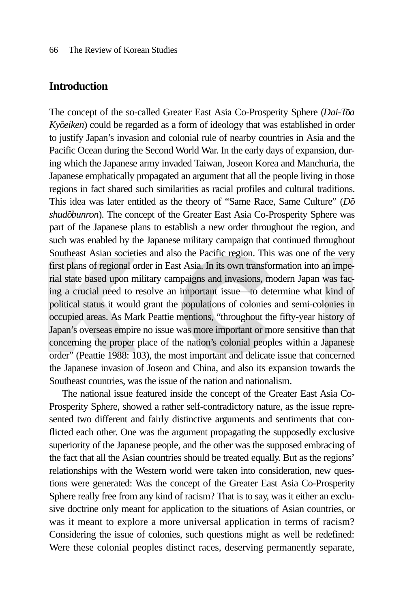### **Introduction**

The concept of the so-called Greater East Asia Co-Prosperity Sphere (*Dai-Toa*) *Kyōeiken*) could be regarded as a form of ideology that was established in order to justify Japan's invasion and colonial rule of nearby countries in Asia and the Pacific Ocean during the Second World War. In the early days of expansion, during which the Japanese army invaded Taiwan, Joseon Korea and Manchuria, the Japanese emphatically propagated an argument that all the people living in those regions in fact shared such similarities as racial profiles and cultural traditions. This idea was later entitled as the theory of "Same Race, Same Culture" (*Do*shudōbunron). The concept of the Greater East Asia Co-Prosperity Sphere was part of the Japanese plans to establish a new order throughout the region, and such was enabled by the Japanese military campaign that continued throughout Southeast Asian societies and also the Pacific region. This was one of the very first plans of regional order in East Asia. In its own transformation into an imperial state based upon military campaigns and invasions, modern Japan was facing a crucial need to resolve an important issue—to determine what kind of political status it would grant the populations of colonies and semi-colonies in occupied areas. As Mark Peattie mentions, "throughout the fifty-year history of Japan's overseas empire no issue was more important or more sensitive than that concerning the proper place of the nation's colonial peoples within a Japanese order" (Peattie 1988: 103), the most important and delicate issue that concerned the Japanese invasion of Joseon and China, and also its expansion towards the Southeast countries, was the issue of the nation and nationalism.

The national issue featured inside the concept of the Greater East Asia Co-Prosperity Sphere, showed a rather self-contradictory nature, as the issue represented two different and fairly distinctive arguments and sentiments that conflicted each other. One was the argument propagating the supposedly exclusive superiority of the Japanese people, and the other was the supposed embracing of the fact that all the Asian countries should be treated equally. But as the regions' relationships with the Western world were taken into consideration, new questions were generated: Was the concept of the Greater East Asia Co-Prosperity Sphere really free from any kind of racism? That is to say, was it either an exclusive doctrine only meant for application to the situations of Asian countries, or was it meant to explore a more universal application in terms of racism? Considering the issue of colonies, such questions might as well be redefined: Were these colonial peoples distinct races, deserving permanently separate,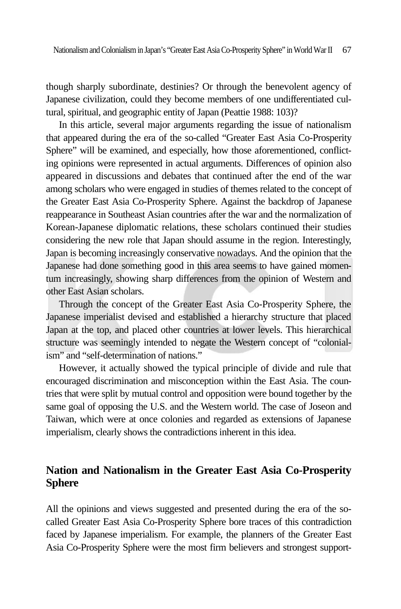though sharply subordinate, destinies? Or through the benevolent agency of Japanese civilization, could they become members of one undifferentiated cultural, spiritual, and geographic entity of Japan (Peattie 1988: 103)?

In this article, several major arguments regarding the issue of nationalism that appeared during the era of the so-called "Greater East Asia Co-Prosperity Sphere" will be examined, and especially, how those aforementioned, conflicting opinions were represented in actual arguments. Differences of opinion also appeared in discussions and debates that continued after the end of the war among scholars who were engaged in studies of themes related to the concept of the Greater East Asia Co-Prosperity Sphere. Against the backdrop of Japanese reappearance in Southeast Asian countries after the war and the normalization of Korean-Japanese diplomatic relations, these scholars continued their studies considering the new role that Japan should assume in the region. Interestingly, Japan is becoming increasingly conservative nowadays. And the opinion that the Japanese had done something good in this area seems to have gained momentum increasingly, showing sharp differences from the opinion of Western and other East Asian scholars.

Through the concept of the Greater East Asia Co-Prosperity Sphere, the Japanese imperialist devised and established a hierarchy structure that placed Japan at the top, and placed other countries at lower levels. This hierarchical structure was seemingly intended to negate the Western concept of "colonialism" and "self-determination of nations."

However, it actually showed the typical principle of divide and rule that encouraged discrimination and misconception within the East Asia. The countries that were split by mutual control and opposition were bound together by the same goal of opposing the U.S. and the Western world. The case of Joseon and Taiwan, which were at once colonies and regarded as extensions of Japanese imperialism, clearly shows the contradictions inherent in this idea.

# **Nation and Nationalism in the Greater East Asia Co-Prosperity Sphere**

All the opinions and views suggested and presented during the era of the socalled Greater East Asia Co-Prosperity Sphere bore traces of this contradiction faced by Japanese imperialism. For example, the planners of the Greater East Asia Co-Prosperity Sphere were the most firm believers and strongest support-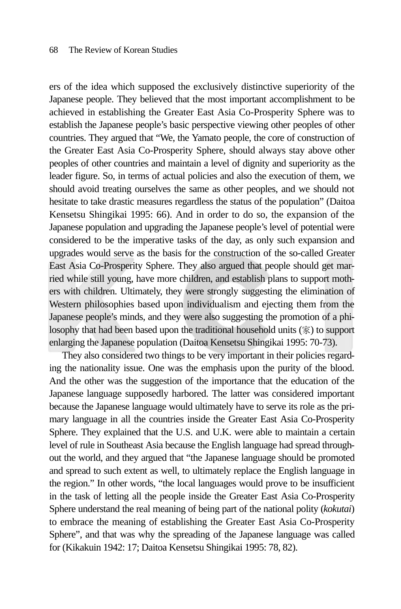ers of the idea which supposed the exclusively distinctive superiority of the Japanese people. They believed that the most important accomplishment to be achieved in establishing the Greater East Asia Co-Prosperity Sphere was to establish the Japanese people's basic perspective viewing other peoples of other countries. They argued that "We, the Yamato people, the core of construction of the Greater East Asia Co-Prosperity Sphere, should always stay above other peoples of other countries and maintain a level of dignity and superiority as the leader figure. So, in terms of actual policies and also the execution of them, we should avoid treating ourselves the same as other peoples, and we should not hesitate to take drastic measures regardless the status of the population" (Daitoa Kensetsu Shingikai 1995: 66). And in order to do so, the expansion of the Japanese population and upgrading the Japanese people's level of potential were considered to be the imperative tasks of the day, as only such expansion and upgrades would serve as the basis for the construction of the so-called Greater East Asia Co-Prosperity Sphere. They also argued that people should get married while still young, have more children, and establish plans to support mothers with children. Ultimately, they were strongly suggesting the elimination of Western philosophies based upon individualism and ejecting them from the Japanese people's minds, and they were also suggesting the promotion of a philosophy that had been based upon the traditional household units (家) to support enlarging the Japanese population (Daitoa Kensetsu Shingikai 1995: 70-73).

They also considered two things to be very important in their policies regarding the nationality issue. One was the emphasis upon the purity of the blood. And the other was the suggestion of the importance that the education of the Japanese language supposedly harbored. The latter was considered important because the Japanese language would ultimately have to serve its role as the primary language in all the countries inside the Greater East Asia Co-Prosperity Sphere. They explained that the U.S. and U.K. were able to maintain a certain level of rule in Southeast Asia because the English language had spread throughout the world, and they argued that "the Japanese language should be promoted and spread to such extent as well, to ultimately replace the English language in the region." In other words, "the local languages would prove to be insufficient in the task of letting all the people inside the Greater East Asia Co-Prosperity Sphere understand the real meaning of being part of the national polity (*kokutai*) to embrace the meaning of establishing the Greater East Asia Co-Prosperity Sphere", and that was why the spreading of the Japanese language was called for (Kikakuin 1942: 17; Daitoa Kensetsu Shingikai 1995: 78, 82).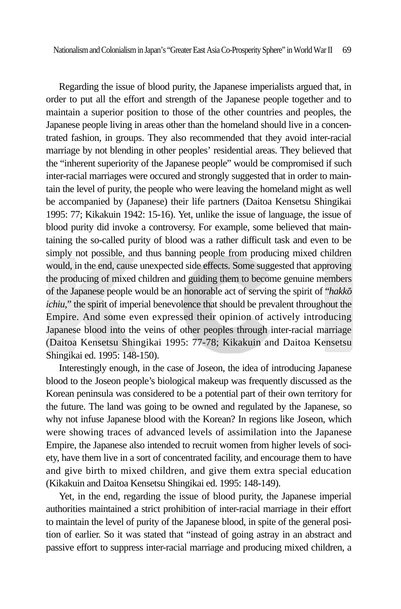Nationalism and Colonialism in Japan's "Greater East Asia Co-Prosperity Sphere" in World War II 69

Regarding the issue of blood purity, the Japanese imperialists argued that, in order to put all the effort and strength of the Japanese people together and to maintain a superior position to those of the other countries and peoples, the Japanese people living in areas other than the homeland should live in a concentrated fashion, in groups. They also recommended that they avoid inter-racial marriage by not blending in other peoples' residential areas. They believed that the "inherent superiority of the Japanese people" would be compromised if such inter-racial marriages were occured and strongly suggested that in order to maintain the level of purity, the people who were leaving the homeland might as well be accompanied by (Japanese) their life partners (Daitoa Kensetsu Shingikai 1995: 77; Kikakuin 1942: 15-16). Yet, unlike the issue of language, the issue of blood purity did invoke a controversy. For example, some believed that maintaining the so-called purity of blood was a rather difficult task and even to be simply not possible, and thus banning people from producing mixed children would, in the end, cause unexpected side effects. Some suggested that approving the producing of mixed children and guiding them to become genuine members of the Japanese people would be an honorable act of serving the spirit of "*hakkoichiu*," the spirit of imperial benevolence that should be prevalent throughout the Empire. And some even expressed their opinion of actively introducing Japanese blood into the veins of other peoples through inter-racial marriage (Daitoa Kensetsu Shingikai 1995: 77-78; Kikakuin and Daitoa Kensetsu Shingikai ed. 1995: 148-150).

Interestingly enough, in the case of Joseon, the idea of introducing Japanese blood to the Joseon people's biological makeup was frequently discussed as the Korean peninsula was considered to be a potential part of their own territory for the future. The land was going to be owned and regulated by the Japanese, so why not infuse Japanese blood with the Korean? In regions like Joseon, which were showing traces of advanced levels of assimilation into the Japanese Empire, the Japanese also intended to recruit women from higher levels of society, have them live in a sort of concentrated facility, and encourage them to have and give birth to mixed children, and give them extra special education (Kikakuin and Daitoa Kensetsu Shingikai ed. 1995: 148-149).

Yet, in the end, regarding the issue of blood purity, the Japanese imperial authorities maintained a strict prohibition of inter-racial marriage in their effort to maintain the level of purity of the Japanese blood, in spite of the general position of earlier. So it was stated that "instead of going astray in an abstract and passive effort to suppress inter-racial marriage and producing mixed children, a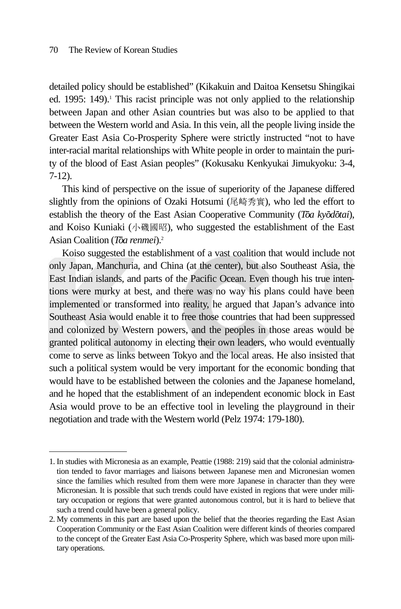detailed policy should be established" (Kikakuin and Daitoa Kensetsu Shingikai ed.  $1995: 149$ ).<sup>1</sup> This racist principle was not only applied to the relationship between Japan and other Asian countries but was also to be applied to that between the Western world and Asia. In this vein, all the people living inside the Greater East Asia Co-Prosperity Sphere were strictly instructed "not to have inter-racial marital relationships with White people in order to maintain the purity of the blood of East Asian peoples" (Kokusaku Kenkyukai Jimukyoku: 3-4, 7-12).

This kind of perspective on the issue of superiority of the Japanese differed slightly from the opinions of Ozaki Hotsumi (尾崎秀實), who led the effort to establish the theory of the East Asian Cooperative Community (*Toa kyodotai*), and Koiso Kuniaki (小磯國昭), who suggested the establishment of the East Asian Coalition (Toa renmei).<sup>2</sup>

Koiso suggested the establishment of a vast coalition that would include not only Japan, Manchuria, and China (at the center), but also Southeast Asia, the East Indian islands, and parts of the Pacific Ocean. Even though his true intentions were murky at best, and there was no way his plans could have been implemented or transformed into reality, he argued that Japan's advance into Southeast Asia would enable it to free those countries that had been suppressed and colonized by Western powers, and the peoples in those areas would be granted political autonomy in electing their own leaders, who would eventually come to serve as links between Tokyo and the local areas. He also insisted that such a political system would be very important for the economic bonding that would have to be established between the colonies and the Japanese homeland, and he hoped that the establishment of an independent economic block in East Asia would prove to be an effective tool in leveling the playground in their negotiation and trade with the Western world (Pelz 1974: 179-180).

<sup>1.</sup> In studies with Micronesia as an example, Peattie (1988: 219) said that the colonial administration tended to favor marriages and liaisons between Japanese men and Micronesian women since the families which resulted from them were more Japanese in character than they were Micronesian. It is possible that such trends could have existed in regions that were under military occupation or regions that were granted autonomous control, but it is hard to believe that such a trend could have been a general policy.

<sup>2.</sup> My comments in this part are based upon the belief that the theories regarding the East Asian Cooperation Community or the East Asian Coalition were different kinds of theories compared to the concept of the Greater East Asia Co-Prosperity Sphere, which was based more upon military operations.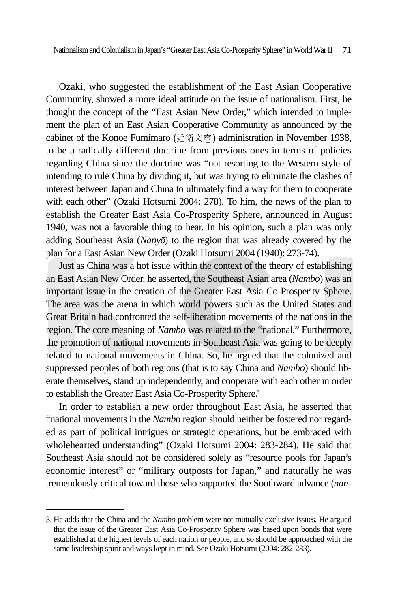Nationalism and Colonialism in Japan's "Greater East Asia Co-Prosperity Sphere" in World War II 71

Ozaki, who suggested the establishment of the East Asian Cooperative Community, showed a more ideal attitude on the issue of nationalism. First, he thought the concept of the "East Asian New Order," which intended to implement the plan of an East Asian Cooperative Community as announced by the cabinet of the Konoe Fumimaro (近衛文麿) administration in November 1938, to be a radically different doctrine from previous ones in terms of policies regarding China since the doctrine was "not resorting to the Western style of intending to rule China by dividing it, but was trying to eliminate the clashes of interest between Japan and China to ultimately find a way for them to cooperate with each other" (Ozaki Hotsumi 2004: 278). To him, the news of the plan to establish the Greater East Asia Co-Prosperity Sphere, announced in August 1940, was not a favorable thing to hear. In his opinion, such a plan was only adding Southeast Asia (*Nanyo*) to the region that was already covered by the plan for a East Asian New Order (Ozaki Hotsumi 2004 (1940): 273-74).

Just as China was a hot issue within the context of the theory of establishing an East Asian New Order, he asserted, the Southeast Asian area (*Nambo*) was an important issue in the creation of the Greater East Asia Co-Prosperity Sphere. The area was the arena in which world powers such as the United States and Great Britain had confronted the self-liberation movements of the nations in the region. The core meaning of *Nambo* was related to the "national." Furthermore, the promotion of national movements in Southeast Asia was going to be deeply related to national movements in China. So, he argued that the colonized and suppressed peoples of both regions (that is to say China and *Nambo*) should liberate themselves, stand up independently, and cooperate with each other in order to establish the Greater East Asia Co-Prosperity Sphere.<sup>3</sup>

In order to establish a new order throughout East Asia, he asserted that "national movements in the *Namb*o region should neither be fostered nor regarded as part of political intrigues or strategic operations, but be embraced with wholehearted understanding" (Ozaki Hotsumi 2004: 283-284). He said that Southeast Asia should not be considered solely as "resource pools for Japan's economic interest" or "military outposts for Japan," and naturally he was tremendously critical toward those who supported the Southward advance (*nan-*

<sup>3.</sup> He adds that the China and the *Nambo* problem were not mutually exclusive issues. He argued that the issue of the Greater East Asia Co-Prosperity Sphere was based upon bonds that were established at the highest levels of each nation or people, and so should be approached with the same leadership spirit and ways kept in mind. See Ozaki Hotsumi (2004: 282-283).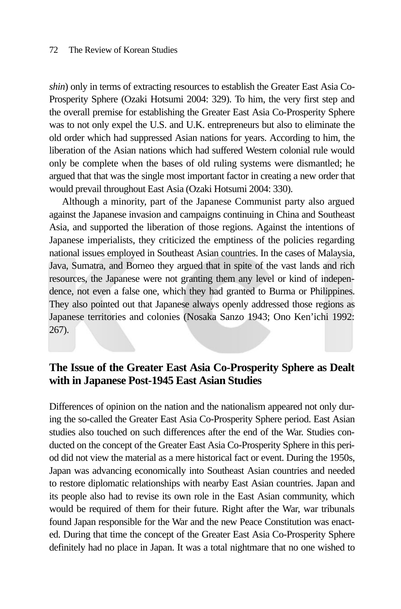*shin*) only in terms of extracting resources to establish the Greater East Asia Co-Prosperity Sphere (Ozaki Hotsumi 2004: 329). To him, the very first step and the overall premise for establishing the Greater East Asia Co-Prosperity Sphere was to not only expel the U.S. and U.K. entrepreneurs but also to eliminate the old order which had suppressed Asian nations for years. According to him, the liberation of the Asian nations which had suffered Western colonial rule would only be complete when the bases of old ruling systems were dismantled; he argued that that was the single most important factor in creating a new order that would prevail throughout East Asia (Ozaki Hotsumi 2004: 330).

Although a minority, part of the Japanese Communist party also argued against the Japanese invasion and campaigns continuing in China and Southeast Asia, and supported the liberation of those regions. Against the intentions of Japanese imperialists, they criticized the emptiness of the policies regarding national issues employed in Southeast Asian countries. In the cases of Malaysia, Java, Sumatra, and Borneo they argued that in spite of the vast lands and rich resources, the Japanese were not granting them any level or kind of independence, not even a false one, which they had granted to Burma or Philippines. They also pointed out that Japanese always openly addressed those regions as Japanese territories and colonies (Nosaka Sanzo 1943; Ono Ken'ichi 1992: 267).

# **The Issue of the Greater East Asia Co-Prosperity Sphere as Dealt with in Japanese Post-1945 East Asian Studies**

Differences of opinion on the nation and the nationalism appeared not only during the so-called the Greater East Asia Co-Prosperity Sphere period. East Asian studies also touched on such differences after the end of the War. Studies conducted on the concept of the Greater East Asia Co-Prosperity Sphere in this period did not view the material as a mere historical fact or event. During the 1950s, Japan was advancing economically into Southeast Asian countries and needed to restore diplomatic relationships with nearby East Asian countries. Japan and its people also had to revise its own role in the East Asian community, which would be required of them for their future. Right after the War, war tribunals found Japan responsible for the War and the new Peace Constitution was enacted. During that time the concept of the Greater East Asia Co-Prosperity Sphere definitely had no place in Japan. It was a total nightmare that no one wished to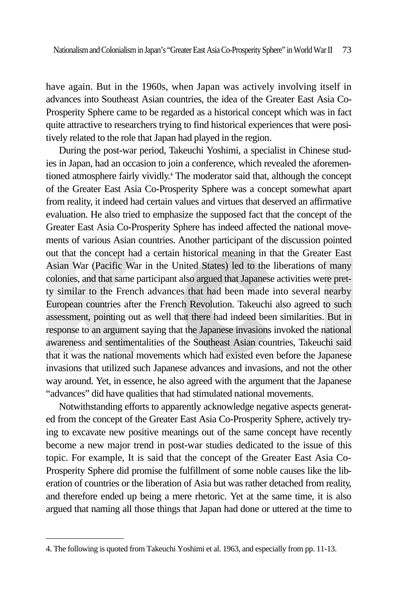have again. But in the 1960s, when Japan was actively involving itself in advances into Southeast Asian countries, the idea of the Greater East Asia Co-Prosperity Sphere came to be regarded as a historical concept which was in fact quite attractive to researchers trying to find historical experiences that were positively related to the role that Japan had played in the region.

During the post-war period, Takeuchi Yoshimi, a specialist in Chinese studies in Japan, had an occasion to join a conference, which revealed the aforementioned atmosphere fairly vividly.4 The moderator said that, although the concept of the Greater East Asia Co-Prosperity Sphere was a concept somewhat apart from reality, it indeed had certain values and virtues that deserved an affirmative evaluation. He also tried to emphasize the supposed fact that the concept of the Greater East Asia Co-Prosperity Sphere has indeed affected the national movements of various Asian countries. Another participant of the discussion pointed out that the concept had a certain historical meaning in that the Greater East Asian War (Pacific War in the United States) led to the liberations of many colonies, and that same participant also argued that Japanese activities were pretty similar to the French advances that had been made into several nearby European countries after the French Revolution. Takeuchi also agreed to such assessment, pointing out as well that there had indeed been similarities. But in response to an argument saying that the Japanese invasions invoked the national awareness and sentimentalities of the Southeast Asian countries, Takeuchi said that it was the national movements which had existed even before the Japanese invasions that utilized such Japanese advances and invasions, and not the other way around. Yet, in essence, he also agreed with the argument that the Japanese "advances" did have qualities that had stimulated national movements.

Notwithstanding efforts to apparently acknowledge negative aspects generated from the concept of the Greater East Asia Co-Prosperity Sphere, actively trying to excavate new positive meanings out of the same concept have recently become a new major trend in post-war studies dedicated to the issue of this topic. For example, It is said that the concept of the Greater East Asia Co-Prosperity Sphere did promise the fulfillment of some noble causes like the liberation of countries or the liberation of Asia but was rather detached from reality, and therefore ended up being a mere rhetoric. Yet at the same time, it is also argued that naming all those things that Japan had done or uttered at the time to

<sup>4.</sup> The following is quoted from Takeuchi Yoshimi et al. 1963, and especially from pp. 11-13.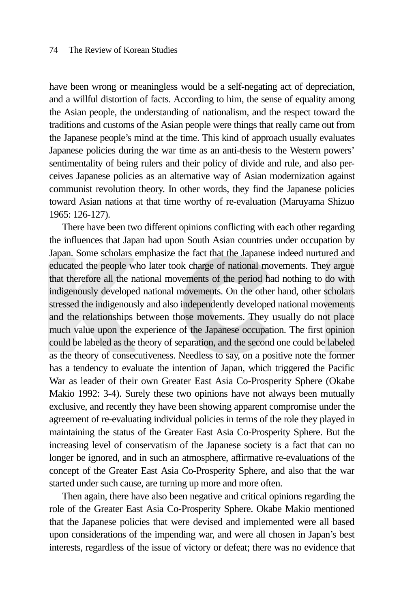have been wrong or meaningless would be a self-negating act of depreciation, and a willful distortion of facts. According to him, the sense of equality among the Asian people, the understanding of nationalism, and the respect toward the traditions and customs of the Asian people were things that really came out from the Japanese people's mind at the time. This kind of approach usually evaluates Japanese policies during the war time as an anti-thesis to the Western powers' sentimentality of being rulers and their policy of divide and rule, and also perceives Japanese policies as an alternative way of Asian modernization against communist revolution theory. In other words, they find the Japanese policies toward Asian nations at that time worthy of re-evaluation (Maruyama Shizuo 1965: 126-127).

There have been two different opinions conflicting with each other regarding the influences that Japan had upon South Asian countries under occupation by Japan. Some scholars emphasize the fact that the Japanese indeed nurtured and educated the people who later took charge of national movements. They argue that therefore all the national movements of the period had nothing to do with indigenously developed national movements. On the other hand, other scholars stressed the indigenously and also independently developed national movements and the relationships between those movements. They usually do not place much value upon the experience of the Japanese occupation. The first opinion could be labeled as the theory of separation, and the second one could be labeled as the theory of consecutiveness. Needless to say, on a positive note the former has a tendency to evaluate the intention of Japan, which triggered the Pacific War as leader of their own Greater East Asia Co-Prosperity Sphere (Okabe Makio 1992: 3-4). Surely these two opinions have not always been mutually exclusive, and recently they have been showing apparent compromise under the agreement of re-evaluating individual policies in terms of the role they played in maintaining the status of the Greater East Asia Co-Prosperity Sphere. But the increasing level of conservatism of the Japanese society is a fact that can no longer be ignored, and in such an atmosphere, affirmative re-evaluations of the concept of the Greater East Asia Co-Prosperity Sphere, and also that the war started under such cause, are turning up more and more often.

Then again, there have also been negative and critical opinions regarding the role of the Greater East Asia Co-Prosperity Sphere. Okabe Makio mentioned that the Japanese policies that were devised and implemented were all based upon considerations of the impending war, and were all chosen in Japan's best interests, regardless of the issue of victory or defeat; there was no evidence that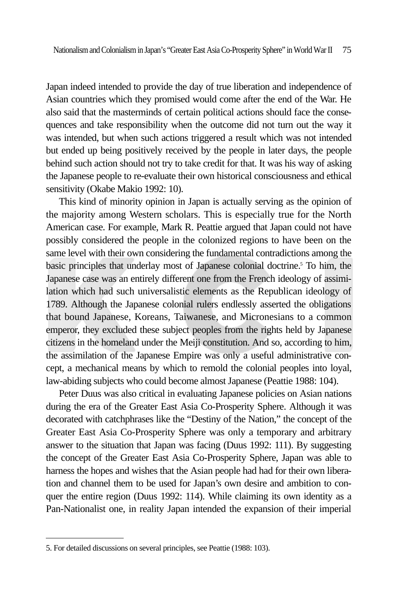Japan indeed intended to provide the day of true liberation and independence of Asian countries which they promised would come after the end of the War. He also said that the masterminds of certain political actions should face the consequences and take responsibility when the outcome did not turn out the way it was intended, but when such actions triggered a result which was not intended but ended up being positively received by the people in later days, the people behind such action should not try to take credit for that. It was his way of asking the Japanese people to re-evaluate their own historical consciousness and ethical sensitivity (Okabe Makio 1992: 10).

This kind of minority opinion in Japan is actually serving as the opinion of the majority among Western scholars. This is especially true for the North American case. For example, Mark R. Peattie argued that Japan could not have possibly considered the people in the colonized regions to have been on the same level with their own considering the fundamental contradictions among the basic principles that underlay most of Japanese colonial doctrine.5 To him, the Japanese case was an entirely different one from the French ideology of assimilation which had such universalistic elements as the Republican ideology of 1789. Although the Japanese colonial rulers endlessly asserted the obligations that bound Japanese, Koreans, Taiwanese, and Micronesians to a common emperor, they excluded these subject peoples from the rights held by Japanese citizens in the homeland under the Meiji constitution. And so, according to him, the assimilation of the Japanese Empire was only a useful administrative concept, a mechanical means by which to remold the colonial peoples into loyal, law-abiding subjects who could become almost Japanese (Peattie 1988: 104).

Peter Duus was also critical in evaluating Japanese policies on Asian nations during the era of the Greater East Asia Co-Prosperity Sphere. Although it was decorated with catchphrases like the "Destiny of the Nation," the concept of the Greater East Asia Co-Prosperity Sphere was only a temporary and arbitrary answer to the situation that Japan was facing (Duus 1992: 111). By suggesting the concept of the Greater East Asia Co-Prosperity Sphere, Japan was able to harness the hopes and wishes that the Asian people had had for their own liberation and channel them to be used for Japan's own desire and ambition to conquer the entire region (Duus 1992: 114). While claiming its own identity as a Pan-Nationalist one, in reality Japan intended the expansion of their imperial

<sup>5.</sup> For detailed discussions on several principles, see Peattie (1988: 103).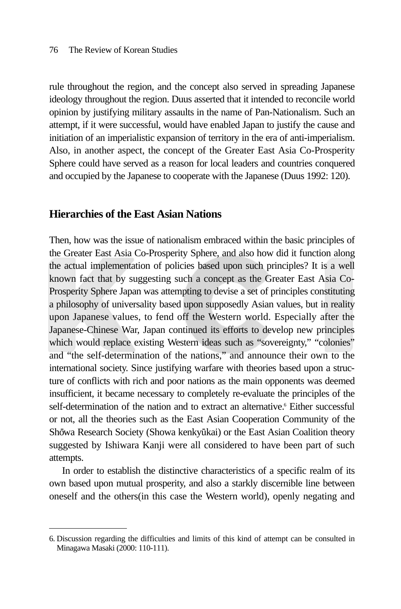rule throughout the region, and the concept also served in spreading Japanese ideology throughout the region. Duus asserted that it intended to reconcile world opinion by justifying military assaults in the name of Pan-Nationalism. Such an attempt, if it were successful, would have enabled Japan to justify the cause and initiation of an imperialistic expansion of territory in the era of anti-imperialism. Also, in another aspect, the concept of the Greater East Asia Co-Prosperity Sphere could have served as a reason for local leaders and countries conquered and occupied by the Japanese to cooperate with the Japanese (Duus 1992: 120).

### **Hierarchies of the East Asian Nations**

Then, how was the issue of nationalism embraced within the basic principles of the Greater East Asia Co-Prosperity Sphere, and also how did it function along the actual implementation of policies based upon such principles? It is a well known fact that by suggesting such a concept as the Greater East Asia Co-Prosperity Sphere Japan was attempting to devise a set of principles constituting a philosophy of universality based upon supposedly Asian values, but in reality upon Japanese values, to fend off the Western world. Especially after the Japanese-Chinese War, Japan continued its efforts to develop new principles which would replace existing Western ideas such as "sovereignty," "colonies" and "the self-determination of the nations," and announce their own to the international society. Since justifying warfare with theories based upon a structure of conflicts with rich and poor nations as the main opponents was deemed insufficient, it became necessary to completely re-evaluate the principles of the self-determination of the nation and to extract an alternative.<sup>6</sup> Either successful or not, all the theories such as the East Asian Cooperation Community of the Shōwa Research Society (Showa kenkyūkai) or the East Asian Coalition theory suggested by Ishiwara Kanji were all considered to have been part of such attempts.

In order to establish the distinctive characteristics of a specific realm of its own based upon mutual prosperity, and also a starkly discernible line between oneself and the others(in this case the Western world), openly negating and

<sup>6.</sup> Discussion regarding the difficulties and limits of this kind of attempt can be consulted in Minagawa Masaki (2000: 110-111).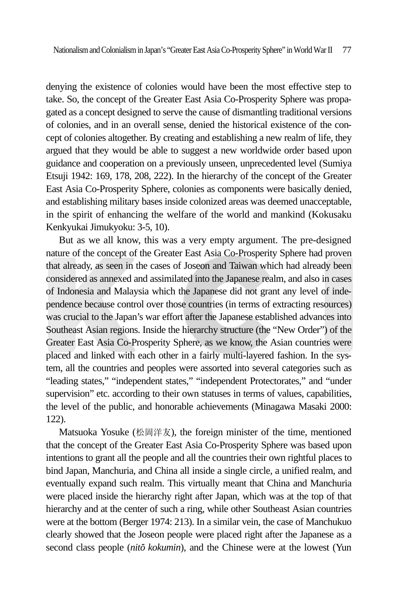denying the existence of colonies would have been the most effective step to take. So, the concept of the Greater East Asia Co-Prosperity Sphere was propagated as a concept designed to serve the cause of dismantling traditional versions of colonies, and in an overall sense, denied the historical existence of the concept of colonies altogether. By creating and establishing a new realm of life, they argued that they would be able to suggest a new worldwide order based upon guidance and cooperation on a previously unseen, unprecedented level (Sumiya Etsuji 1942: 169, 178, 208, 222). In the hierarchy of the concept of the Greater East Asia Co-Prosperity Sphere, colonies as components were basically denied, and establishing military bases inside colonized areas was deemed unacceptable, in the spirit of enhancing the welfare of the world and mankind (Kokusaku Kenkyukai Jimukyoku: 3-5, 10).

But as we all know, this was a very empty argument. The pre-designed nature of the concept of the Greater East Asia Co-Prosperity Sphere had proven that already, as seen in the cases of Joseon and Taiwan which had already been considered as annexed and assimilated into the Japanese realm, and also in cases of Indonesia and Malaysia which the Japanese did not grant any level of independence because control over those countries (in terms of extracting resources) was crucial to the Japan's war effort after the Japanese established advances into Southeast Asian regions. Inside the hierarchy structure (the "New Order") of the Greater East Asia Co-Prosperity Sphere, as we know, the Asian countries were placed and linked with each other in a fairly multi-layered fashion. In the system, all the countries and peoples were assorted into several categories such as "leading states," "independent states," "independent Protectorates," and "under supervision" etc. according to their own statuses in terms of values, capabilities, the level of the public, and honorable achievements (Minagawa Masaki 2000: 122).

Matsuoka Yosuke (松岡洋友), the foreign minister of the time, mentioned that the concept of the Greater East Asia Co-Prosperity Sphere was based upon intentions to grant all the people and all the countries their own rightful places to bind Japan, Manchuria, and China all inside a single circle, a unified realm, and eventually expand such realm. This virtually meant that China and Manchuria were placed inside the hierarchy right after Japan, which was at the top of that hierarchy and at the center of such a ring, while other Southeast Asian countries were at the bottom (Berger 1974: 213). In a similar vein, the case of Manchukuo clearly showed that the Joseon people were placed right after the Japanese as a second class people *(nito kokumin)*, and the Chinese were at the lowest (Yun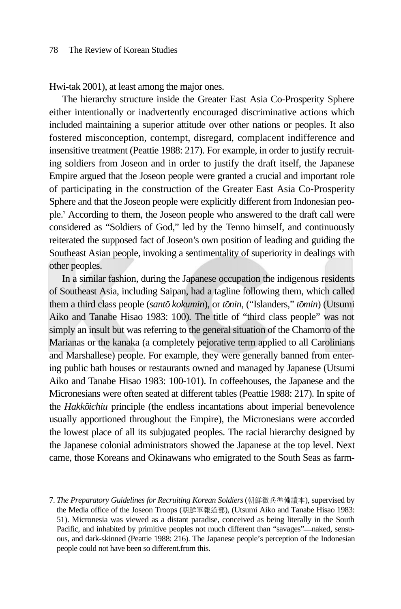Hwi-tak 2001), at least among the major ones.

The hierarchy structure inside the Greater East Asia Co-Prosperity Sphere either intentionally or inadvertently encouraged discriminative actions which included maintaining a superior attitude over other nations or peoples. It also fostered misconception, contempt, disregard, complacent indifference and insensitive treatment (Peattie 1988: 217). For example, in order to justify recruiting soldiers from Joseon and in order to justify the draft itself, the Japanese Empire argued that the Joseon people were granted a crucial and important role of participating in the construction of the Greater East Asia Co-Prosperity Sphere and that the Joseon people were explicitly different from Indonesian people.7 According to them, the Joseon people who answered to the draft call were considered as "Soldiers of God," led by the Tenno himself, and continuously reiterated the supposed fact of Joseon's own position of leading and guiding the Southeast Asian people, invoking a sentimentality of superiority in dealings with other peoples.

In a similar fashion, during the Japanese occupation the indigenous residents of Southeast Asia, including Saipan, had a tagline following them, which called them a third class people (*santo kokumin*), or *tonin*, ("Islanders," *tomin*) (Utsumi Aiko and Tanabe Hisao 1983: 100). The title of "third class people" was not simply an insult but was referring to the general situation of the Chamorro of the Marianas or the kanaka (a completely pejorative term applied to all Carolinians and Marshallese) people. For example, they were generally banned from entering public bath houses or restaurants owned and managed by Japanese (Utsumi Aiko and Tanabe Hisao 1983: 100-101). In coffeehouses, the Japanese and the Micronesians were often seated at different tables (Peattie 1988: 217). In spite of the *Hakkoichiu* principle (the endless incantations about imperial benevolence usually apportioned throughout the Empire), the Micronesians were accorded the lowest place of all its subjugated peoples. The racial hierarchy designed by the Japanese colonial administrators showed the Japanese at the top level. Next came, those Koreans and Okinawans who emigrated to the South Seas as farm-

<sup>7.</sup> *The Preparatory Guidelines for Recruiting Korean Soldiers*(朝鮮徵兵準備讀本), supervised by the Media office of the Joseon Troops (朝鮮軍報道部), (Utsumi Aiko and Tanabe Hisao 1983: 51). Micronesia was viewed as a distant paradise, conceived as being literally in the South Pacific, and inhabited by primitive peoples not much different than "savages"—naked, sensuous, and dark-skinned (Peattie 1988: 216). The Japanese people's perception of the Indonesian people could not have been so different.from this.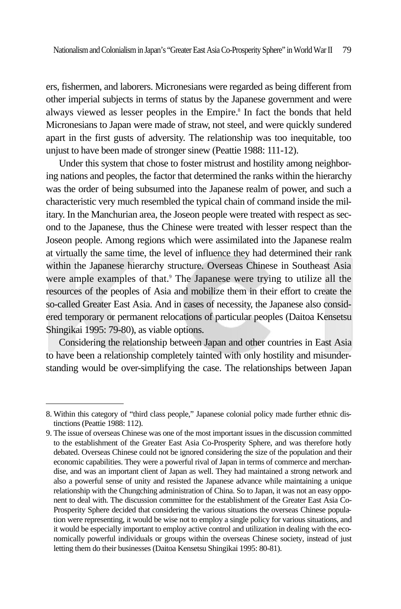ers, fishermen, and laborers. Micronesians were regarded as being different from other imperial subjects in terms of status by the Japanese government and were always viewed as lesser peoples in the Empire.<sup>8</sup> In fact the bonds that held Micronesians to Japan were made of straw, not steel, and were quickly sundered apart in the first gusts of adversity. The relationship was too inequitable, too unjust to have been made of stronger sinew (Peattie 1988: 111-12).

Under this system that chose to foster mistrust and hostility among neighboring nations and peoples, the factor that determined the ranks within the hierarchy was the order of being subsumed into the Japanese realm of power, and such a characteristic very much resembled the typical chain of command inside the military. In the Manchurian area, the Joseon people were treated with respect as second to the Japanese, thus the Chinese were treated with lesser respect than the Joseon people. Among regions which were assimilated into the Japanese realm at virtually the same time, the level of influence they had determined their rank within the Japanese hierarchy structure. Overseas Chinese in Southeast Asia were ample examples of that.<sup>9</sup> The Japanese were trying to utilize all the resources of the peoples of Asia and mobilize them in their effort to create the so-called Greater East Asia. And in cases of necessity, the Japanese also considered temporary or permanent relocations of particular peoples (Daitoa Kensetsu Shingikai 1995: 79-80), as viable options.

Considering the relationship between Japan and other countries in East Asia to have been a relationship completely tainted with only hostility and misunderstanding would be over-simplifying the case. The relationships between Japan

<sup>8.</sup> Within this category of "third class people," Japanese colonial policy made further ethnic distinctions (Peattie 1988: 112).

<sup>9.</sup> The issue of overseas Chinese was one of the most important issues in the discussion committed to the establishment of the Greater East Asia Co-Prosperity Sphere, and was therefore hotly debated. Overseas Chinese could not be ignored considering the size of the population and their economic capabilities. They were a powerful rival of Japan in terms of commerce and merchandise, and was an important client of Japan as well. They had maintained a strong network and also a powerful sense of unity and resisted the Japanese advance while maintaining a unique relationship with the Chungching administration of China. So to Japan, it was not an easy opponent to deal with. The discussion committee for the establishment of the Greater East Asia Co-Prosperity Sphere decided that considering the various situations the overseas Chinese population were representing, it would be wise not to employ a single policy for various situations, and it would be especially important to employ active control and utilization in dealing with the economically powerful individuals or groups within the overseas Chinese society, instead of just letting them do their businesses (Daitoa Kensetsu Shingikai 1995: 80-81).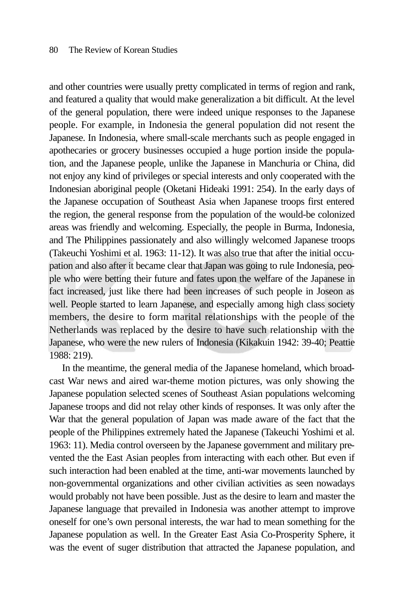and other countries were usually pretty complicated in terms of region and rank, and featured a quality that would make generalization a bit difficult. At the level of the general population, there were indeed unique responses to the Japanese people. For example, in Indonesia the general population did not resent the Japanese. In Indonesia, where small-scale merchants such as people engaged in apothecaries or grocery businesses occupied a huge portion inside the population, and the Japanese people, unlike the Japanese in Manchuria or China, did not enjoy any kind of privileges or special interests and only cooperated with the Indonesian aboriginal people (Oketani Hideaki 1991: 254). In the early days of the Japanese occupation of Southeast Asia when Japanese troops first entered the region, the general response from the population of the would-be colonized areas was friendly and welcoming. Especially, the people in Burma, Indonesia, and The Philippines passionately and also willingly welcomed Japanese troops (Takeuchi Yoshimi et al. 1963: 11-12). It was also true that after the initial occupation and also after it became clear that Japan was going to rule Indonesia, people who were betting their future and fates upon the welfare of the Japanese in fact increased, just like there had been increases of such people in Joseon as well. People started to learn Japanese, and especially among high class society members, the desire to form marital relationships with the people of the Netherlands was replaced by the desire to have such relationship with the Japanese, who were the new rulers of Indonesia (Kikakuin 1942: 39-40; Peattie 1988: 219).

In the meantime, the general media of the Japanese homeland, which broadcast War news and aired war-theme motion pictures, was only showing the Japanese population selected scenes of Southeast Asian populations welcoming Japanese troops and did not relay other kinds of responses. It was only after the War that the general population of Japan was made aware of the fact that the people of the Philippines extremely hated the Japanese (Takeuchi Yoshimi et al. 1963: 11). Media control overseen by the Japanese government and military prevented the the East Asian peoples from interacting with each other. But even if such interaction had been enabled at the time, anti-war movements launched by non-governmental organizations and other civilian activities as seen nowadays would probably not have been possible. Just as the desire to learn and master the Japanese language that prevailed in Indonesia was another attempt to improve oneself for one's own personal interests, the war had to mean something for the Japanese population as well. In the Greater East Asia Co-Prosperity Sphere, it was the event of suger distribution that attracted the Japanese population, and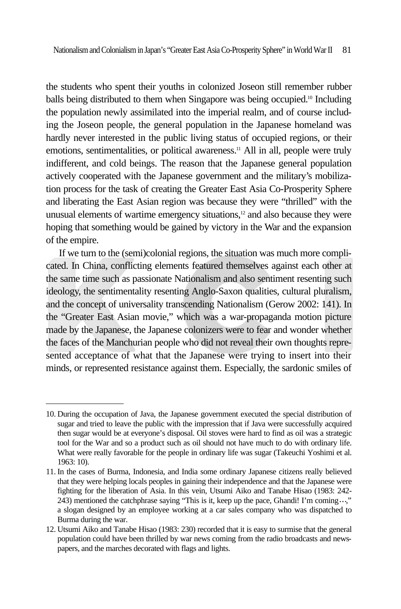the students who spent their youths in colonized Joseon still remember rubber balls being distributed to them when Singapore was being occupied.10 Including the population newly assimilated into the imperial realm, and of course including the Joseon people, the general population in the Japanese homeland was hardly never interested in the public living status of occupied regions, or their emotions, sentimentalities, or political awareness.<sup>11</sup> All in all, people were truly indifferent, and cold beings. The reason that the Japanese general population actively cooperated with the Japanese government and the military's mobilization process for the task of creating the Greater East Asia Co-Prosperity Sphere and liberating the East Asian region was because they were "thrilled" with the unusual elements of wartime emergency situations,<sup>12</sup> and also because they were hoping that something would be gained by victory in the War and the expansion of the empire.

If we turn to the (semi)colonial regions, the situation was much more complicated. In China, conflicting elements featured themselves against each other at the same time such as passionate Nationalism and also sentiment resenting such ideology, the sentimentality resenting Anglo-Saxon qualities, cultural pluralism, and the concept of universality transcending Nationalism (Gerow 2002: 141). In the "Greater East Asian movie," which was a war-propaganda motion picture made by the Japanese, the Japanese colonizers were to fear and wonder whether the faces of the Manchurian people who did not reveal their own thoughts represented acceptance of what that the Japanese were trying to insert into their minds, or represented resistance against them. Especially, the sardonic smiles of

<sup>10.</sup> During the occupation of Java, the Japanese government executed the special distribution of sugar and tried to leave the public with the impression that if Java were successfully acquired then sugar would be at everyone's disposal. Oil stoves were hard to find as oil was a strategic tool for the War and so a product such as oil should not have much to do with ordinary life. What were really favorable for the people in ordinary life was sugar (Takeuchi Yoshimi et al. 1963: 10).

<sup>11.</sup> In the cases of Burma, Indonesia, and India some ordinary Japanese citizens really believed that they were helping locals peoples in gaining their independence and that the Japanese were fighting for the liberation of Asia. In this vein, Utsumi Aiko and Tanabe Hisao (1983: 242- 243) mentioned the catchphrase saying "This is it, keep up the pace, Ghandi! I'm coming  $\cdot \cdot$ ," a slogan designed by an employee working at a car sales company who was dispatched to Burma during the war.

<sup>12.</sup> Utsumi Aiko and Tanabe Hisao (1983: 230) recorded that it is easy to surmise that the general population could have been thrilled by war news coming from the radio broadcasts and newspapers, and the marches decorated with flags and lights.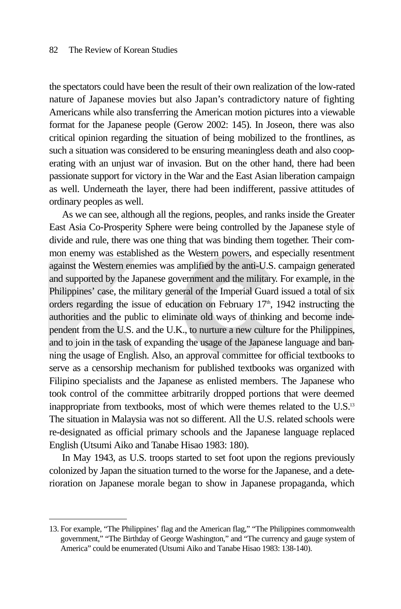the spectators could have been the result of their own realization of the low-rated nature of Japanese movies but also Japan's contradictory nature of fighting Americans while also transferring the American motion pictures into a viewable format for the Japanese people (Gerow 2002: 145). In Joseon, there was also critical opinion regarding the situation of being mobilized to the frontlines, as such a situation was considered to be ensuring meaningless death and also cooperating with an unjust war of invasion. But on the other hand, there had been passionate support for victory in the War and the East Asian liberation campaign as well. Underneath the layer, there had been indifferent, passive attitudes of ordinary peoples as well.

As we can see, although all the regions, peoples, and ranks inside the Greater East Asia Co-Prosperity Sphere were being controlled by the Japanese style of divide and rule, there was one thing that was binding them together. Their common enemy was established as the Western powers, and especially resentment against the Western enemies was amplified by the anti-U.S. campaign generated and supported by the Japanese government and the military. For example, in the Philippines' case, the military general of the Imperial Guard issued a total of six orders regarding the issue of education on February  $17<sup>th</sup>$ ,  $1942$  instructing the authorities and the public to eliminate old ways of thinking and become independent from the U.S. and the U.K., to nurture a new culture for the Philippines, and to join in the task of expanding the usage of the Japanese language and banning the usage of English. Also, an approval committee for official textbooks to serve as a censorship mechanism for published textbooks was organized with Filipino specialists and the Japanese as enlisted members. The Japanese who took control of the committee arbitrarily dropped portions that were deemed inappropriate from textbooks, most of which were themes related to the U.S.<sup>13</sup> The situation in Malaysia was not so different. All the U.S. related schools were re-designated as official primary schools and the Japanese language replaced English (Utsumi Aiko and Tanabe Hisao 1983: 180).

In May 1943, as U.S. troops started to set foot upon the regions previously colonized by Japan the situation turned to the worse for the Japanese, and a deterioration on Japanese morale began to show in Japanese propaganda, which

<sup>13.</sup> For example, "The Philippines' flag and the American flag," "The Philippines commonwealth government," "The Birthday of George Washington," and "The currency and gauge system of America" could be enumerated (Utsumi Aiko and Tanabe Hisao 1983: 138-140).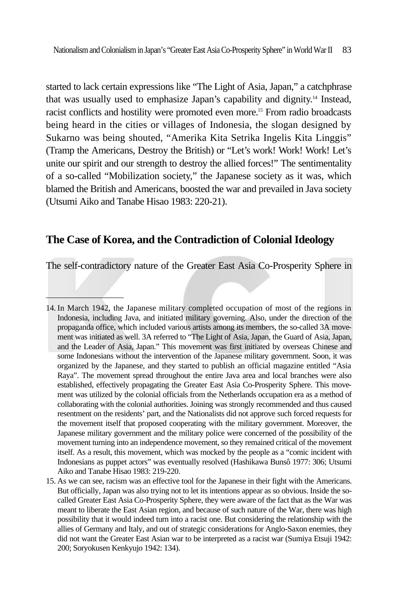started to lack certain expressions like "The Light of Asia, Japan," a catchphrase that was usually used to emphasize Japan's capability and dignity.14 Instead, racist conflicts and hostility were promoted even more.15 From radio broadcasts being heard in the cities or villages of Indonesia, the slogan designed by Sukarno was being shouted, "Amerika Kita Setrika Ingelis Kita Linggis" (Tramp the Americans, Destroy the British) or "Let's work! Work! Work! Let's unite our spirit and our strength to destroy the allied forces!" The sentimentality of a so-called "Mobilization society," the Japanese society as it was, which blamed the British and Americans, boosted the war and prevailed in Java society (Utsumi Aiko and Tanabe Hisao 1983: 220-21).

### **The Case of Korea, and the Contradiction of Colonial Ideology**

The self-contradictory nature of the Greater East Asia Co-Prosperity Sphere in

<sup>14.</sup> In March 1942, the Japanese military completed occupation of most of the regions in Indonesia, including Java, and initiated military governing. Also, under the direction of the propaganda office, which included various artists among its members, the so-called 3A movement was initiated as well. 3A referred to "The Light of Asia, Japan, the Guard of Asia, Japan, and the Leader of Asia, Japan." This movement was first initiated by overseas Chinese and some Indonesians without the intervention of the Japanese military government. Soon, it was organized by the Japanese, and they started to publish an official magazine entitled "Asia Raya". The movement spread throughout the entire Java area and local branches were also established, effectively propagating the Greater East Asia Co-Prosperity Sphere. This movement was utilized by the colonial officials from the Netherlands occupation era as a method of collaborating with the colonial authorities. Joining was strongly recommended and thus caused resentment on the residents' part, and the Nationalists did not approve such forced requests for the movement itself that proposed cooperating with the military government. Moreover, the Japanese military government and the military police were concerned of the possibility of the movement turning into an independence movement, so they remained critical of the movement itself. As a result, this movement, which was mocked by the people as a "comic incident with Indonesians as puppet actors" was eventually resolved (Hashikawa Bunsô 1977: 306; Utsumi Aiko and Tanabe Hisao 1983: 219-220.

<sup>15.</sup> As we can see, racism was an effective tool for the Japanese in their fight with the Americans. But officially, Japan was also trying not to let its intentions appear as so obvious. Inside the socalled Greater East Asia Co-Prosperity Sphere, they were aware of the fact that as the War was meant to liberate the East Asian region, and because of such nature of the War, there was high possibility that it would indeed turn into a racist one. But considering the relationship with the allies of Germany and Italy, and out of strategic considerations for Anglo-Saxon enemies, they did not want the Greater East Asian war to be interpreted as a racist war (Sumiya Etsuji 1942: 200; Soryokusen Kenkyujo 1942: 134).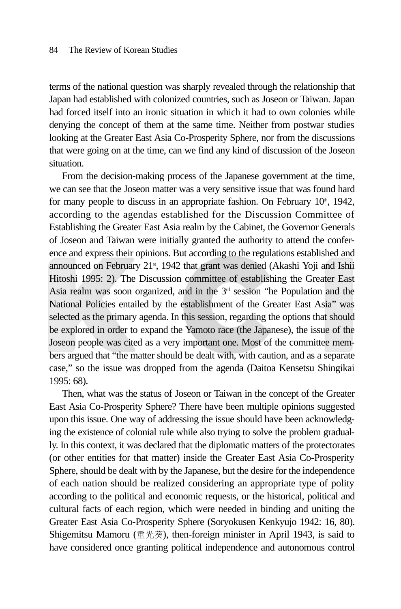terms of the national question was sharply revealed through the relationship that Japan had established with colonized countries, such as Joseon or Taiwan. Japan had forced itself into an ironic situation in which it had to own colonies while denying the concept of them at the same time. Neither from postwar studies looking at the Greater East Asia Co-Prosperity Sphere, nor from the discussions that were going on at the time, can we find any kind of discussion of the Joseon situation.

From the decision-making process of the Japanese government at the time, we can see that the Joseon matter was a very sensitive issue that was found hard for many people to discuss in an appropriate fashion. On February  $10<sup>th</sup>$ , 1942, according to the agendas established for the Discussion Committee of Establishing the Greater East Asia realm by the Cabinet, the Governor Generals of Joseon and Taiwan were initially granted the authority to attend the conference and express their opinions. But according to the regulations established and announced on February  $21<sup>st</sup>$ , 1942 that grant was denied (Akashi Yoji and Ishii Hitoshi 1995: 2). The Discussion committee of establishing the Greater East Asia realm was soon organized, and in the  $3<sup>rd</sup>$  session "he Population and the National Policies entailed by the establishment of the Greater East Asia" was selected as the primary agenda. In this session, regarding the options that should be explored in order to expand the Yamoto race (the Japanese), the issue of the Joseon people was cited as a very important one. Most of the committee members argued that "the matter should be dealt with, with caution, and as a separate case," so the issue was dropped from the agenda (Daitoa Kensetsu Shingikai 1995: 68).

Then, what was the status of Joseon or Taiwan in the concept of the Greater East Asia Co-Prosperity Sphere? There have been multiple opinions suggested upon this issue. One way of addressing the issue should have been acknowledging the existence of colonial rule while also trying to solve the problem gradually. In this context, it was declared that the diplomatic matters of the protectorates (or other entities for that matter) inside the Greater East Asia Co-Prosperity Sphere, should be dealt with by the Japanese, but the desire for the independence of each nation should be realized considering an appropriate type of polity according to the political and economic requests, or the historical, political and cultural facts of each region, which were needed in binding and uniting the Greater East Asia Co-Prosperity Sphere (Soryokusen Kenkyujo 1942: 16, 80). Shigemitsu Mamoru (重光葵), then-foreign minister in April 1943, is said to have considered once granting political independence and autonomous control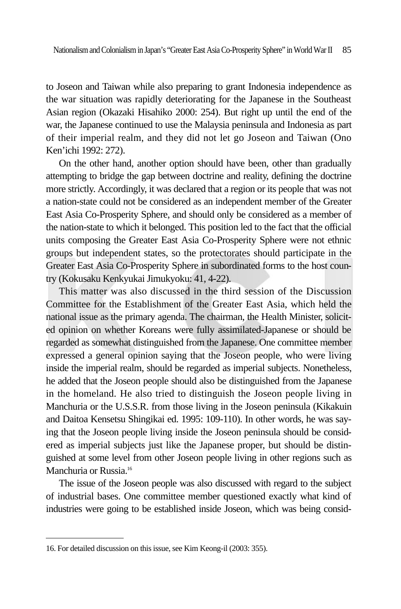to Joseon and Taiwan while also preparing to grant Indonesia independence as the war situation was rapidly deteriorating for the Japanese in the Southeast Asian region (Okazaki Hisahiko 2000: 254). But right up until the end of the war, the Japanese continued to use the Malaysia peninsula and Indonesia as part of their imperial realm, and they did not let go Joseon and Taiwan (Ono Ken'ichi 1992: 272).

On the other hand, another option should have been, other than gradually attempting to bridge the gap between doctrine and reality, defining the doctrine more strictly. Accordingly, it was declared that a region or its people that was not a nation-state could not be considered as an independent member of the Greater East Asia Co-Prosperity Sphere, and should only be considered as a member of the nation-state to which it belonged. This position led to the fact that the official units composing the Greater East Asia Co-Prosperity Sphere were not ethnic groups but independent states, so the protectorates should participate in the Greater East Asia Co-Prosperity Sphere in subordinated forms to the host country (Kokusaku Kenkyukai Jimukyoku: 41, 4-22).

This matter was also discussed in the third session of the Discussion Committee for the Establishment of the Greater East Asia, which held the national issue as the primary agenda. The chairman, the Health Minister, solicited opinion on whether Koreans were fully assimilated-Japanese or should be regarded as somewhat distinguished from the Japanese. One committee member expressed a general opinion saying that the Joseon people, who were living inside the imperial realm, should be regarded as imperial subjects. Nonetheless, he added that the Joseon people should also be distinguished from the Japanese in the homeland. He also tried to distinguish the Joseon people living in Manchuria or the U.S.S.R. from those living in the Joseon peninsula (Kikakuin and Daitoa Kensetsu Shingikai ed. 1995: 109-110). In other words, he was saying that the Joseon people living inside the Joseon peninsula should be considered as imperial subjects just like the Japanese proper, but should be distinguished at some level from other Joseon people living in other regions such as Manchuria or Russia.<sup>16</sup>

The issue of the Joseon people was also discussed with regard to the subject of industrial bases. One committee member questioned exactly what kind of industries were going to be established inside Joseon, which was being consid-

<sup>16.</sup> For detailed discussion on this issue, see Kim Keong-il (2003: 355).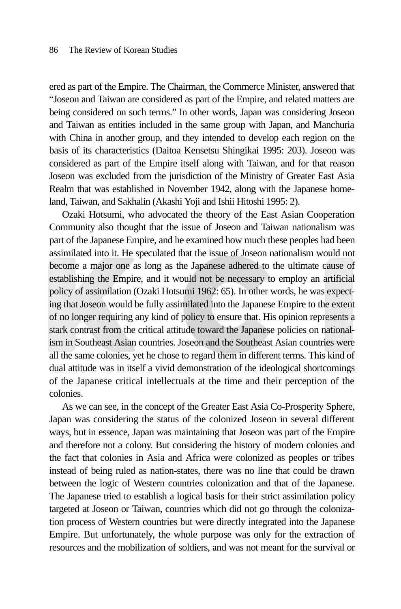ered as part of the Empire. The Chairman, the Commerce Minister, answered that "Joseon and Taiwan are considered as part of the Empire, and related matters are being considered on such terms." In other words, Japan was considering Joseon and Taiwan as entities included in the same group with Japan, and Manchuria with China in another group, and they intended to develop each region on the basis of its characteristics (Daitoa Kensetsu Shingikai 1995: 203). Joseon was considered as part of the Empire itself along with Taiwan, and for that reason Joseon was excluded from the jurisdiction of the Ministry of Greater East Asia Realm that was established in November 1942, along with the Japanese homeland, Taiwan, and Sakhalin (Akashi Yoji and Ishii Hitoshi 1995: 2).

Ozaki Hotsumi, who advocated the theory of the East Asian Cooperation Community also thought that the issue of Joseon and Taiwan nationalism was part of the Japanese Empire, and he examined how much these peoples had been assimilated into it. He speculated that the issue of Joseon nationalism would not become a major one as long as the Japanese adhered to the ultimate cause of establishing the Empire, and it would not be necessary to employ an artificial policy of assimilation (Ozaki Hotsumi 1962: 65). In other words, he was expecting that Joseon would be fully assimilated into the Japanese Empire to the extent of no longer requiring any kind of policy to ensure that. His opinion represents a stark contrast from the critical attitude toward the Japanese policies on nationalism in Southeast Asian countries. Joseon and the Southeast Asian countries were all the same colonies, yet he chose to regard them in different terms. This kind of dual attitude was in itself a vivid demonstration of the ideological shortcomings of the Japanese critical intellectuals at the time and their perception of the colonies.

As we can see, in the concept of the Greater East Asia Co-Prosperity Sphere, Japan was considering the status of the colonized Joseon in several different ways, but in essence, Japan was maintaining that Joseon was part of the Empire and therefore not a colony. But considering the history of modern colonies and the fact that colonies in Asia and Africa were colonized as peoples or tribes instead of being ruled as nation-states, there was no line that could be drawn between the logic of Western countries colonization and that of the Japanese. The Japanese tried to establish a logical basis for their strict assimilation policy targeted at Joseon or Taiwan, countries which did not go through the colonization process of Western countries but were directly integrated into the Japanese Empire. But unfortunately, the whole purpose was only for the extraction of resources and the mobilization of soldiers, and was not meant for the survival or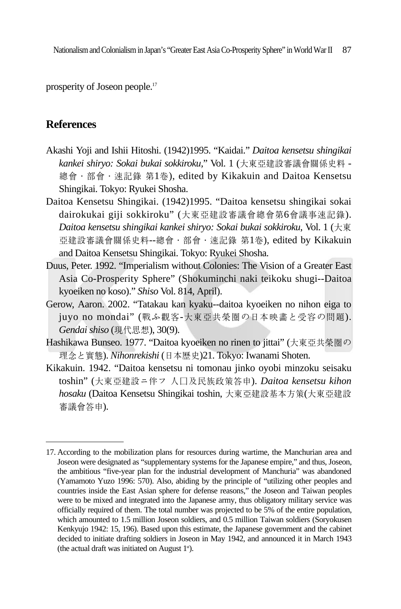prosperity of Joseon people.17

# **References**

- Akashi Yoji and Ishii Hitoshi. (1942)1995. "Kaidai." *Daitoa kensetsu shingikai kankei shiryo: Sokai bukai sokkiroku,*" Vol. 1 (大東亞建設審議會關係史料 - 總會∙部會∙速記錄 第1卷), edited by Kikakuin and Daitoa Kensetsu Shingikai. Tokyo: Ryukei Shosha.
- Daitoa Kensetsu Shingikai. (1942)1995. "Daitoa kensetsu shingikai sokai dairokukai giji sokkiroku" (大東亞建設審議會總會第6會議事速記錄). *Daitoa kensetsu shingikai kankei shiryo: Sokai bukai sokkiroku*, Vol. 1 (大東 亞建設審議會關係史料--總會∙部會∙速記錄 第1卷), edited by Kikakuin and Daitoa Kensetsu Shingikai. Tokyo: Ryukei Shosha.
- Duus, Peter. 1992. "Imperialism without Colonies: The Vision of a Greater East Asia Co-Prosperity Sphere" (Shokuminchi naki teikoku shugi--Daitoa kyoeiken no koso)." *Shiso* Vol. 814, April).
- Gerow, Aaron. 2002. "Tatakau kan kyaku--daitoa kyoeiken no nihon eiga to juyo no mondai" (戰ふ觀客-大東亞共榮圈の日本映畵と受容の問題). *Gendai shiso* (現代思想), 30(9).
- Hashikawa Bunseo. 1977. "Daitoa kyoeiken no rinen to jittai" (大東亞共榮圈の 理念と實態). *Nihonrekishi* (日本歴史)21. Tokyo: Iwanami Shoten.
- Kikakuin. 1942. "Daitoa kensetsu ni tomonau jinko oyobi minzoku seisaku toshin" (大東亞建設ニ伴フ 人口及民族政策答申). *Daitoa kensetsu kihon hosaku* (Daitoa Kensetsu Shingikai toshin, 大東亞建設基本方策(大東亞建設 審議會答申).

<sup>17.</sup> According to the mobilization plans for resources during wartime, the Manchurian area and Joseon were designated as "supplementary systems for the Japanese empire," and thus, Joseon, the ambitious "five-year plan for the industrial development of Manchuria" was abandoned (Yamamoto Yuzo 1996: 570). Also, abiding by the principle of "utilizing other peoples and countries inside the East Asian sphere for defense reasons," the Joseon and Taiwan peoples were to be mixed and integrated into the Japanese army, thus obligatory military service was officially required of them. The total number was projected to be 5% of the entire population, which amounted to 1.5 million Joseon soldiers, and 0.5 million Taiwan soldiers (Soryokusen Kenkyujo 1942: 15, 196). Based upon this estimate, the Japanese government and the cabinet decided to initiate drafting soldiers in Joseon in May 1942, and announced it in March 1943 (the actual draft was initiated on August  $1<sup>st</sup>$ ).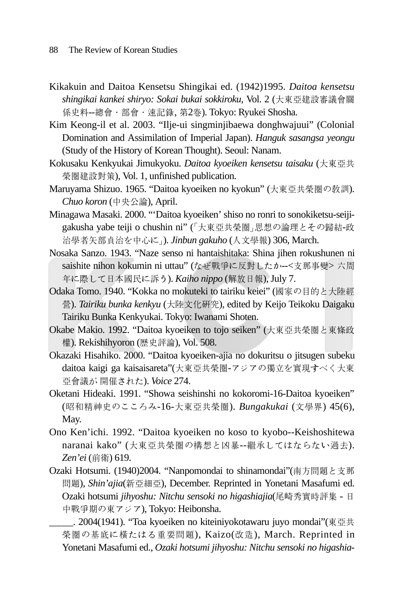- Kikakuin and Daitoa Kensetsu Shingikai ed. (1942)1995. *Daitoa kensetsu shingikai kankei shiryo: Sokai bukai sokkiroku*, Vol. 2 (大東亞建設審議會關 係史料--總會•部會•速記錄, 第2卷). Tokyo: Ryukei Shosha.
- Kim Keong-il et al. 2003. "Ilje-ui singminjibaewa donghwajuui" (Colonial Domination and Assimilation of Imperial Japan). *Hanguk sasangsa yeongu* (Study of the History of Korean Thought). Seoul: Nanam.
- Kokusaku Kenkyukai Jimukyoku. *Daitoa kyoeiken kensetsu taisaku* (大東亞共 榮圈建設對策), Vol. 1, unfinished publication.
- Maruyama Shizuo. 1965. "Daitoa kyoeiken no kyokun" (大東亞共榮圈の敎訓). *Chuo koron* (中央公論), April.
- Minagawa Masaki. 2000. "'Daitoa kyoeiken' shiso no ronri to sonokiketsu-seijigakusha yabe teiji o chushin ni" (「大東亞共榮圈」思想の論理とその歸結-政 治學者矢部貞治を中心に」). *Jinbun gakuho* (人文學報) 306, March.
- Nosaka Sanzo. 1943. "Naze senso ni hantaishitaka: Shina jihen rokushunen ni saishite nihon kokumin ni uttau" (なぜ戦争に反對したか--<支那事變>六周 年に際して日本國民に訴う). *Kaiho nippo* (解放日報), July 7.
- Odaka Tomo. 1940. "Kokka no mokuteki to tairiku keiei" (國家の目的と大陸經 營). *Tairiku bunka kenkyu* (大陸文化硏究), edited by Keijo Teikoku Daigaku Tairiku Bunka Kenkyukai. Tokyo: Iwanami Shoten.
- Okabe Makio. 1992. "Daitoa kyoeiken to tojo seiken" (大東亞共榮圈と東條政 權). Rekishihyoron (�史評論), Vol. 508.
- Okazaki Hisahiko. 2000. "Daitoa kyoeiken-ajia no dokuritsu o jitsugen subeku daitoa kaigi ga kaisaisareta"(大東亞共榮圈-アジアの獨立を實現すべく大東 亞會議が 開催された). *Voice* 274.
- Oketani Hideaki. 1991. "Showa seishinshi no kokoromi-16-Daitoa kyoeiken" (昭和精神史のこころみ-16-大東亞共榮圈). *Bungakukai* (文學界) 45(6), May.
- Ono Ken'ichi. 1992. "Daitoa kyoeiken no koso to kyobo--Keishoshitewa naranai kako" (大東亞共榮圈の構想と凶暴--繼承してはならない過去). *Zen'ei* (前衛) 619.
- Ozaki Hotsumi. (1940)2004. "Nanpomondai to shinamondai"(南方問題と支那 問題), *Shin'ajia*(新亞細亞), December. Reprinted in Yonetani Masafumi ed. Ozaki hotsumi *jihyoshu: Nitchu sensoki no higashiajia*(尾崎秀實時評集 - 日 中戰爭期の東アジア), Tokyo: Heibonsha.

\_\_\_\_\_. 2004(1941). "Toa kyoeiken no kiteiniyokotawaru juyo mondai"(東亞共 榮圈の基底に橫たはる重要問題), Kaizo(改造), March. Reprinted in Yonetani Masafumi ed., *Ozaki hotsumi jihyoshu: Nitchu sensoki no higashia-*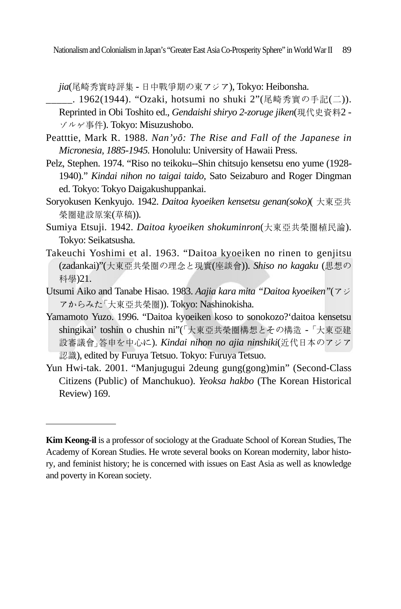*jia*(尾崎秀實時評集 - 日中戰爭期の東アジア), Tokyo: Heibonsha.

- \_\_\_\_\_. 1962(1944). "Ozaki, hotsumi no shuki 2"(尾崎秀實の手記(二)). Reprinted in Obi Toshito ed., *Gendaishi shiryo 2-zoruge jiken*(現代史資料2 - ゾルゲ事件). Tokyo: Misuzushobo.
- Peatttie, Mark R. 1988. *Nan'yo- : The Rise and Fall of the Japanese in Micronesia, 1885-1945.* Honolulu: University of Hawaii Press.
- Pelz, Stephen. 1974. "Riso no teikoku--Shin chitsujo kensetsu eno yume (1928- 1940)." *Kindai nihon no taigai taido,* Sato Seizaburo and Roger Dingman ed. Tokyo: Tokyo Daigakushuppankai.
- Soryokusen Kenkyujo. 1942. *Daitoa kyoeiken kensetsu genan(soko)*( 大東亞共 榮圈建設原案(草稿)).
- Sumiya Etsuji. 1942. *Daitoa kyoeiken shokuminron*(大東亞共榮圈植民論). Tokyo: Seikatsusha.
- Takeuchi Yoshimi et al. 1963. "Daitoa kyoeiken no rinen to genjitsu (zadankai)"(大東亞共榮圈の�念と現實(座談會)). *Shiso no kagaku* (思想の 科學)21.
- Utsumi Aiko and Tanabe Hisao. 1983. *Aajia kara mita "Daitoa kyoeiken"*(アジ アからみた「大東亞共榮圈)). Tokyo: Nashinokisha.
- Yamamoto Yuzo. 1996. "Daitoa kyoeiken koso to sonokozo?'daitoa kensetsu shingikai' toshin o chushin ni"(「大東亞共榮圈構想とその構造 - 「大東亞建 設審議會」答申を中心に). *Kindai nihon no ajia ninshiki*(近代日本のアジア 認識), edited by Furuya Tetsuo. Tokyo: Furuya Tetsuo.
- Yun Hwi-tak. 2001. "Manjugugui 2deung gung(gong)min" (Second-Class Citizens (Public) of Manchukuo). *Yeoksa hakbo* (The Korean Historical Review) 169.

**Kim Keong-il** is a professor of sociology at the Graduate School of Korean Studies, The Academy of Korean Studies. He wrote several books on Korean modernity, labor history, and feminist history; he is concerned with issues on East Asia as well as knowledge and poverty in Korean society.